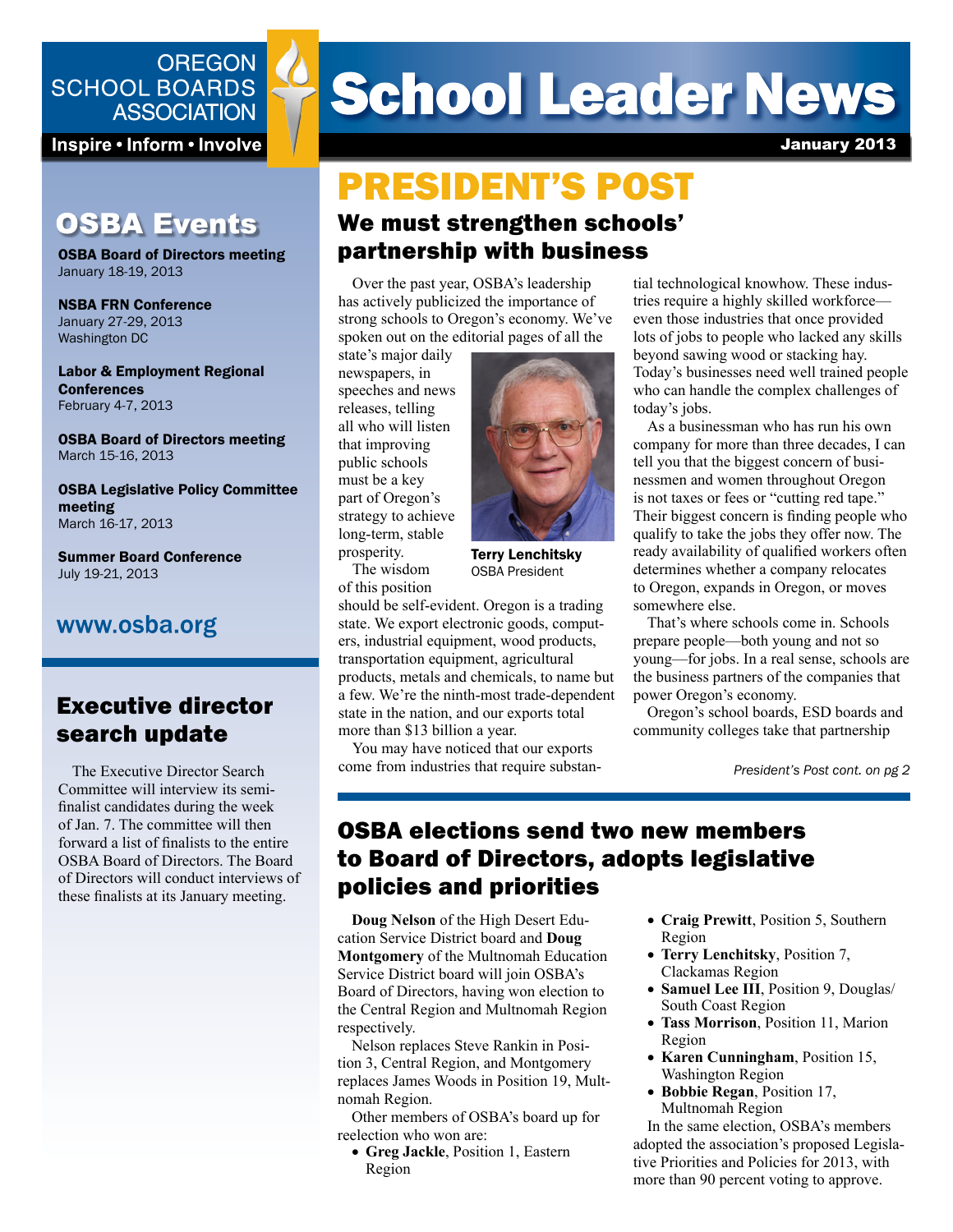### **OREGON SCHOOL BOARDS ASSOCIATION**

Inspire • Inform • Involve

# **OSBA Events**

OSBA Board of Directors meeting January 18-19, 2013

NSBA FRN Conference January 27-29, 2013 Washington DC

Labor & Employment Regional **Conferences** February 4-7, 2013

OSBA Board of Directors meeting March 15-16, 2013

OSBA Legislative Policy Committee meeting March 16-17, 2013

Summer Board Conference July 19-21, 2013

## www.osba.org

# Executive director search update

The Executive Director Search Committee will interview its semifinalist candidates during the week of Jan. 7. The committee will then forward a list of finalists to the entire OSBA Board of Directors. The Board of Directors will conduct interviews of these finalists at its January meeting.

# **School Leader News**

January 2013

# We must strengthen schools' partnership with business PRESIDENT'S POST

Over the past year, OSBA's leadership has actively publicized the importance of strong schools to Oregon's economy. We've spoken out on the editorial pages of all the

state's major daily newspapers, in speeches and news releases, telling all who will listen that improving public schools must be a key part of Oregon's strategy to achieve long-term, stable prosperity. The wisdom



Terry Lenchitsky OSBA President

of this position should be self-evident. Oregon is a trading state. We export electronic goods, computers, industrial equipment, wood products, transportation equipment, agricultural products, metals and chemicals, to name but a few. We're the ninth-most trade-dependent state in the nation, and our exports total more than \$13 billion a year.

You may have noticed that our exports come from industries that require substantial technological knowhow. These industries require a highly skilled workforce even those industries that once provided lots of jobs to people who lacked any skills beyond sawing wood or stacking hay. Today's businesses need well trained people who can handle the complex challenges of today's jobs.

As a businessman who has run his own company for more than three decades, I can tell you that the biggest concern of businessmen and women throughout Oregon is not taxes or fees or "cutting red tape." Their biggest concern is finding people who qualify to take the jobs they offer now. The ready availability of qualified workers often determines whether a company relocates to Oregon, expands in Oregon, or moves somewhere else.

That's where schools come in. Schools prepare people—both young and not so young—for jobs. In a real sense, schools are the business partners of the companies that power Oregon's economy.

Oregon's school boards, ESD boards and community colleges take that partnership

*President's Post cont. on pg 2*

# OSBA elections send two new members to Board of Directors, adopts legislative policies and priorities

**Doug Nelson** of the High Desert Education Service District board and **Doug Montgomery** of the Multnomah Education Service District board will join OSBA's Board of Directors, having won election to the Central Region and Multnomah Region respectively.

Nelson replaces Steve Rankin in Position 3, Central Region, and Montgomery replaces James Woods in Position 19, Multnomah Region.

Other members of OSBA's board up for reelection who won are:

• **Greg Jackle**, Position 1, Eastern Region

- **Craig Prewitt**, Position 5, Southern Region
- **Terry Lenchitsky**, Position 7, Clackamas Region
- **Samuel Lee III**, Position 9, Douglas/ South Coast Region
- **Tass Morrison**, Position 11, Marion Region
- **Karen Cunningham**, Position 15, Washington Region
- **Bobbie Regan**, Position 17, Multnomah Region

In the same election, OSBA's members adopted the association's proposed Legislative Priorities and Policies for 2013, with more than 90 percent voting to approve.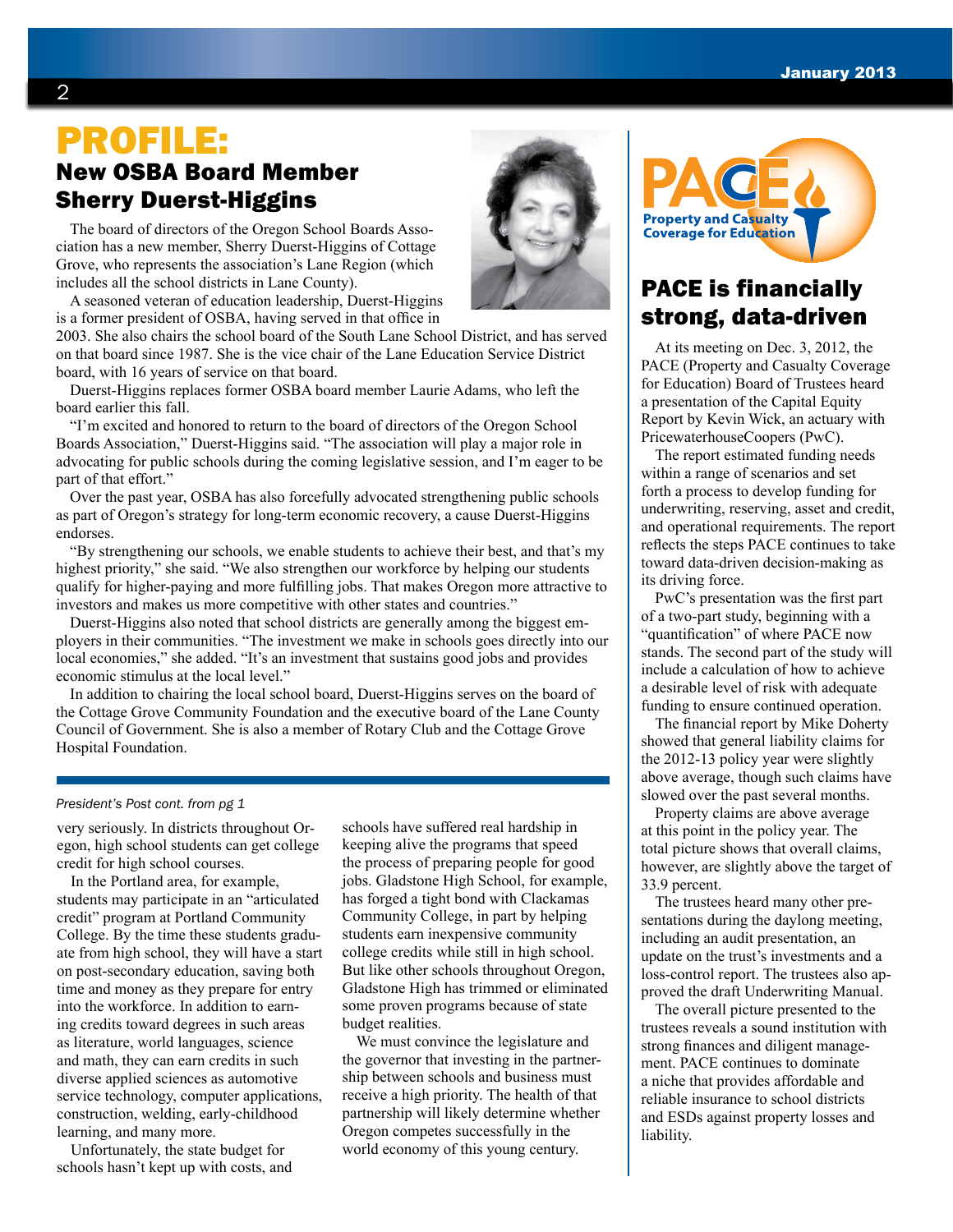# New OSBA Board Member Sherry Duerst-Higgins PROFILE:

The board of directors of the Oregon School Boards Association has a new member, Sherry Duerst-Higgins of Cottage Grove, who represents the association's Lane Region (which includes all the school districts in Lane County).

A seasoned veteran of education leadership, Duerst-Higgins is a former president of OSBA, having served in that office in

2003. She also chairs the school board of the South Lane School District, and has served on that board since 1987. She is the vice chair of the Lane Education Service District board, with 16 years of service on that board.

Duerst-Higgins replaces former OSBA board member Laurie Adams, who left the board earlier this fall.

"I'm excited and honored to return to the board of directors of the Oregon School Boards Association," Duerst-Higgins said. "The association will play a major role in advocating for public schools during the coming legislative session, and I'm eager to be part of that effort."

Over the past year, OSBA has also forcefully advocated strengthening public schools as part of Oregon's strategy for long-term economic recovery, a cause Duerst-Higgins endorses.

"By strengthening our schools, we enable students to achieve their best, and that's my highest priority," she said. "We also strengthen our workforce by helping our students qualify for higher-paying and more fulfilling jobs. That makes Oregon more attractive to investors and makes us more competitive with other states and countries."

Duerst-Higgins also noted that school districts are generally among the biggest employers in their communities. "The investment we make in schools goes directly into our local economies," she added. "It's an investment that sustains good jobs and provides economic stimulus at the local level."

In addition to chairing the local school board, Duerst-Higgins serves on the board of the Cottage Grove Community Foundation and the executive board of the Lane County Council of Government. She is also a member of Rotary Club and the Cottage Grove Hospital Foundation.

#### *President's Post cont. from pg 1*

very seriously. In districts throughout Oregon, high school students can get college credit for high school courses.

In the Portland area, for example, students may participate in an "articulated credit" program at Portland Community College. By the time these students graduate from high school, they will have a start on post-secondary education, saving both time and money as they prepare for entry into the workforce. In addition to earning credits toward degrees in such areas as literature, world languages, science and math, they can earn credits in such diverse applied sciences as automotive service technology, computer applications, construction, welding, early-childhood learning, and many more.

Unfortunately, the state budget for schools hasn't kept up with costs, and

schools have suffered real hardship in keeping alive the programs that speed the process of preparing people for good jobs. Gladstone High School, for example, has forged a tight bond with Clackamas Community College, in part by helping students earn inexpensive community college credits while still in high school. But like other schools throughout Oregon, Gladstone High has trimmed or eliminated some proven programs because of state budget realities.

We must convince the legislature and the governor that investing in the partnership between schools and business must receive a high priority. The health of that partnership will likely determine whether Oregon competes successfully in the world economy of this young century.





# PACE is financially strong, data-driven

At its meeting on Dec. 3, 2012, the PACE (Property and Casualty Coverage for Education) Board of Trustees heard a presentation of the Capital Equity Report by Kevin Wick, an actuary with PricewaterhouseCoopers (PwC).

The report estimated funding needs within a range of scenarios and set forth a process to develop funding for underwriting, reserving, asset and credit, and operational requirements. The report reflects the steps PACE continues to take toward data-driven decision-making as its driving force.

PwC's presentation was the first part of a two-part study, beginning with a "quantification" of where PACE now stands. The second part of the study will include a calculation of how to achieve a desirable level of risk with adequate funding to ensure continued operation.

The financial report by Mike Doherty showed that general liability claims for the 2012-13 policy year were slightly above average, though such claims have slowed over the past several months.

Property claims are above average at this point in the policy year. The total picture shows that overall claims, however, are slightly above the target of 33.9 percent.

The trustees heard many other presentations during the daylong meeting, including an audit presentation, an update on the trust's investments and a loss-control report. The trustees also approved the draft Underwriting Manual.

The overall picture presented to the trustees reveals a sound institution with strong finances and diligent management. PACE continues to dominate a niche that provides affordable and reliable insurance to school districts and ESDs against property losses and liability.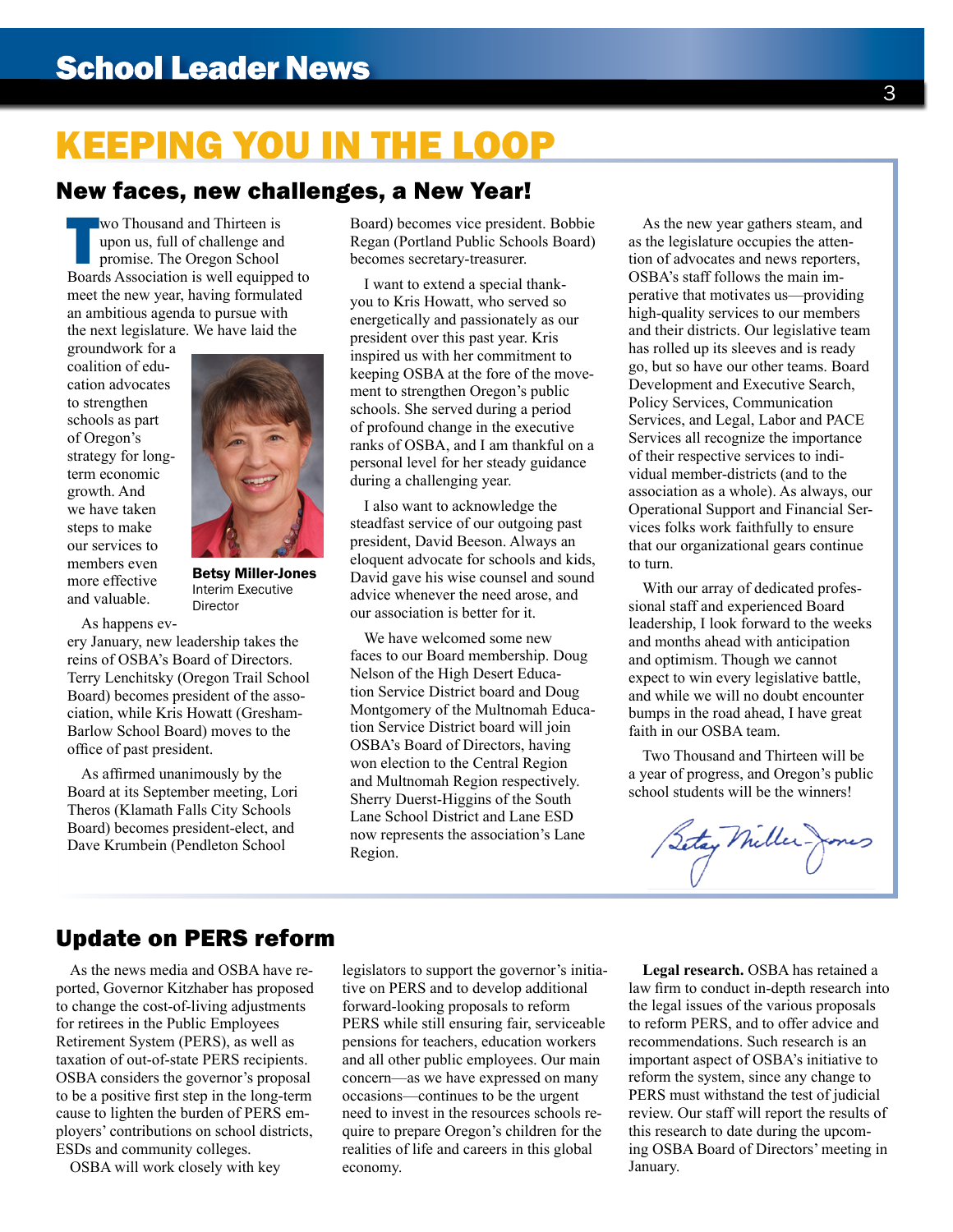# KEEPING YOU IN THE LOOP

### New faces, new challenges, a New Year!

Wo Thousand and Thirteen is<br>
upon us, full of challenge and<br>
promise. The Oregon School<br>
Boards Association is well equipped to wo Thousand and Thirteen is upon us, full of challenge and promise. The Oregon School meet the new year, having formulated an ambitious agenda to pursue with the next legislature. We have laid the

groundwork for a coalition of education advocates to strengthen schools as part of Oregon's strategy for longterm economic growth. And we have taken steps to make our services to members even more effective and valuable.



Betsy Miller-Jones Interim Executive Director

As happens ev-

ery January, new leadership takes the reins of OSBA's Board of Directors. Terry Lenchitsky (Oregon Trail School Board) becomes president of the association, while Kris Howatt (Gresham-Barlow School Board) moves to the office of past president.

As affirmed unanimously by the Board at its September meeting, Lori Theros (Klamath Falls City Schools Board) becomes president-elect, and Dave Krumbein (Pendleton School

Board) becomes vice president. Bobbie Regan (Portland Public Schools Board) becomes secretary-treasurer.

I want to extend a special thankyou to Kris Howatt, who served so energetically and passionately as our president over this past year. Kris inspired us with her commitment to keeping OSBA at the fore of the movement to strengthen Oregon's public schools. She served during a period of profound change in the executive ranks of OSBA, and I am thankful on a personal level for her steady guidance during a challenging year.

I also want to acknowledge the steadfast service of our outgoing past president, David Beeson. Always an eloquent advocate for schools and kids, David gave his wise counsel and sound advice whenever the need arose, and our association is better for it.

We have welcomed some new faces to our Board membership. Doug Nelson of the High Desert Education Service District board and Doug Montgomery of the Multnomah Education Service District board will join OSBA's Board of Directors, having won election to the Central Region and Multnomah Region respectively. Sherry Duerst-Higgins of the South Lane School District and Lane ESD now represents the association's Lane Region.

As the new year gathers steam, and as the legislature occupies the attention of advocates and news reporters, OSBA's staff follows the main imperative that motivates us—providing high-quality services to our members and their districts. Our legislative team has rolled up its sleeves and is ready go, but so have our other teams. Board Development and Executive Search, Policy Services, Communication Services, and Legal, Labor and PACE Services all recognize the importance of their respective services to individual member-districts (and to the association as a whole). As always, our Operational Support and Financial Services folks work faithfully to ensure that our organizational gears continue to turn.

With our array of dedicated professional staff and experienced Board leadership, I look forward to the weeks and months ahead with anticipation and optimism. Though we cannot expect to win every legislative battle, and while we will no doubt encounter bumps in the road ahead, I have great faith in our OSBA team.

Two Thousand and Thirteen will be a year of progress, and Oregon's public school students will be the winners!

Setay Miller- Jos

### Update on PERS reform

As the news media and OSBA have reported, Governor Kitzhaber has proposed to change the cost-of-living adjustments for retirees in the Public Employees Retirement System (PERS), as well as taxation of out-of-state PERS recipients. OSBA considers the governor's proposal to be a positive first step in the long-term cause to lighten the burden of PERS employers' contributions on school districts, ESDs and community colleges.

OSBA will work closely with key

legislators to support the governor's initiative on PERS and to develop additional forward-looking proposals to reform PERS while still ensuring fair, serviceable pensions for teachers, education workers and all other public employees. Our main concern—as we have expressed on many occasions—continues to be the urgent need to invest in the resources schools require to prepare Oregon's children for the realities of life and careers in this global economy.

**Legal research.** OSBA has retained a law firm to conduct in-depth research into the legal issues of the various proposals to reform PERS, and to offer advice and recommendations. Such research is an important aspect of OSBA's initiative to reform the system, since any change to PERS must withstand the test of judicial review. Our staff will report the results of this research to date during the upcoming OSBA Board of Directors' meeting in January.